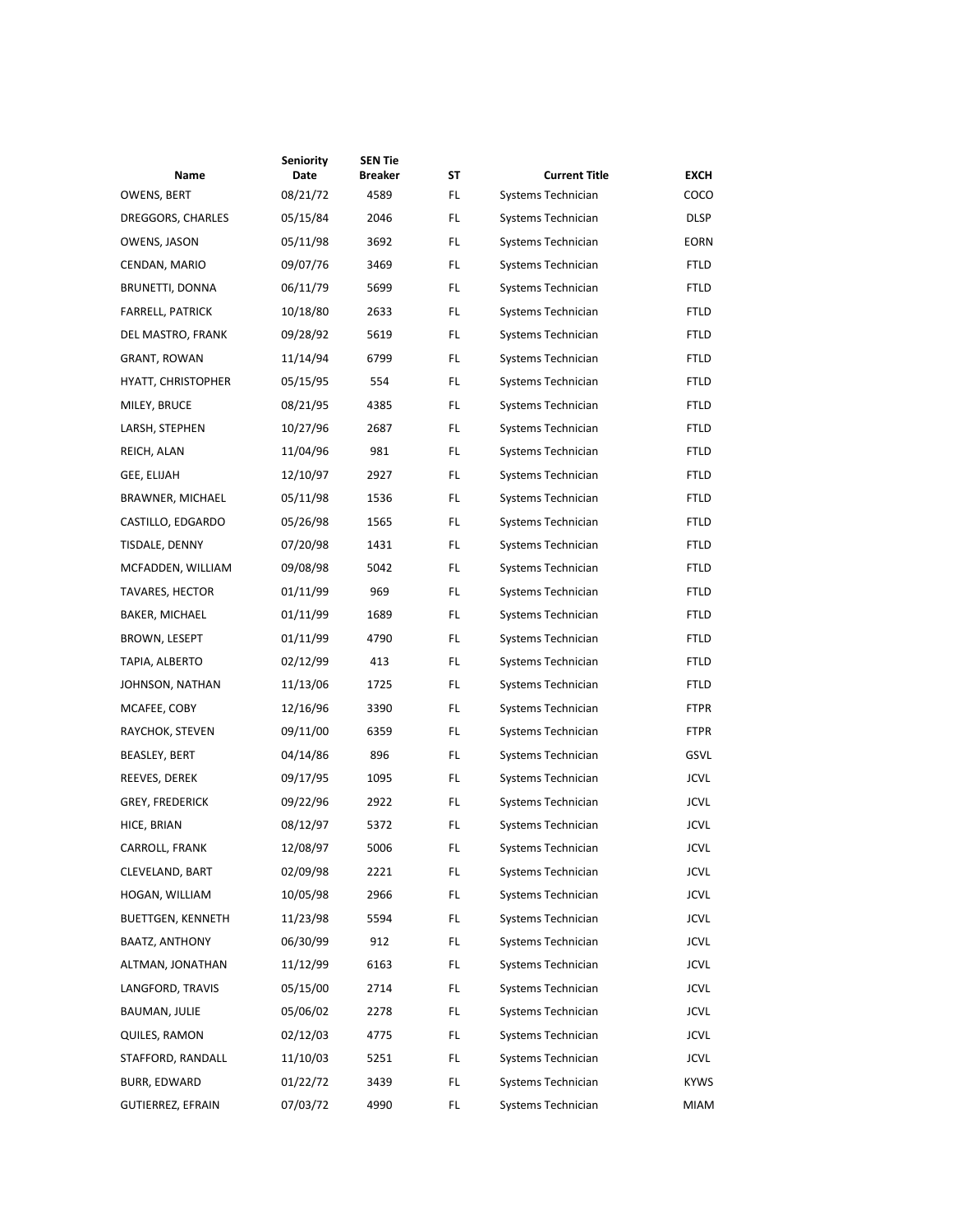|                          | <b>Seniority</b> | <b>SEN Tie</b> |    |                      |             |
|--------------------------|------------------|----------------|----|----------------------|-------------|
| Name                     | Date             | Breaker        | SΤ | <b>Current Title</b> | <b>EXCH</b> |
| OWENS, BERT              | 08/21/72         | 4589           | FL | Systems Technician   | COCO        |
| DREGGORS, CHARLES        | 05/15/84         | 2046           | FL | Systems Technician   | <b>DLSP</b> |
| OWENS, JASON             | 05/11/98         | 3692           | FL | Systems Technician   | <b>EORN</b> |
| CENDAN, MARIO            | 09/07/76         | 3469           | FL | Systems Technician   | <b>FTLD</b> |
| BRUNETTI, DONNA          | 06/11/79         | 5699           | FL | Systems Technician   | FTLD        |
| <b>FARRELL, PATRICK</b>  | 10/18/80         | 2633           | FL | Systems Technician   | <b>FTLD</b> |
| DEL MASTRO, FRANK        | 09/28/92         | 5619           | FL | Systems Technician   | FTLD        |
| <b>GRANT, ROWAN</b>      | 11/14/94         | 6799           | FL | Systems Technician   | <b>FTLD</b> |
| HYATT, CHRISTOPHER       | 05/15/95         | 554            | FL | Systems Technician   | FTLD        |
| MILEY, BRUCE             | 08/21/95         | 4385           | FL | Systems Technician   | FTLD        |
| LARSH, STEPHEN           | 10/27/96         | 2687           | FL | Systems Technician   | FTLD        |
| REICH, ALAN              | 11/04/96         | 981            | FL | Systems Technician   | <b>FTLD</b> |
| GEE, ELIJAH              | 12/10/97         | 2927           | FL | Systems Technician   | FTLD        |
| BRAWNER, MICHAEL         | 05/11/98         | 1536           | FL | Systems Technician   | FTLD        |
| CASTILLO, EDGARDO        | 05/26/98         | 1565           | FL | Systems Technician   | FTLD        |
| TISDALE, DENNY           | 07/20/98         | 1431           | FL | Systems Technician   | <b>FTLD</b> |
| MCFADDEN, WILLIAM        | 09/08/98         | 5042           | FL | Systems Technician   | FTLD        |
| <b>TAVARES, HECTOR</b>   | 01/11/99         | 969            | FL | Systems Technician   | FTLD        |
| BAKER, MICHAEL           | 01/11/99         | 1689           | FL | Systems Technician   | <b>FTLD</b> |
| BROWN, LESEPT            | 01/11/99         | 4790           | FL | Systems Technician   | <b>FTLD</b> |
| TAPIA, ALBERTO           | 02/12/99         | 413            | FL | Systems Technician   | FTLD        |
| JOHNSON, NATHAN          | 11/13/06         | 1725           | FL | Systems Technician   | FTLD        |
| MCAFEE, COBY             | 12/16/96         | 3390           | FL | Systems Technician   | <b>FTPR</b> |
| RAYCHOK, STEVEN          | 09/11/00         | 6359           | FL | Systems Technician   | <b>FTPR</b> |
| BEASLEY, BERT            | 04/14/86         | 896            | FL | Systems Technician   | GSVL        |
| REEVES, DEREK            | 09/17/95         | 1095           | FL | Systems Technician   | <b>JCVL</b> |
| <b>GREY, FREDERICK</b>   | 09/22/96         | 2922           | FL | Systems Technician   | <b>JCVL</b> |
| HICE, BRIAN              | 08/12/97         | 5372           | FL | Systems Technician   | <b>JCVL</b> |
| CARROLL, FRANK           | 12/08/97         | 5006           | FL | Systems Technician   | <b>JCVL</b> |
| CLEVELAND, BART          | 02/09/98         | 2221           | FL | Systems Technician   | <b>JCVL</b> |
| HOGAN, WILLIAM           | 10/05/98         | 2966           | FL | Systems Technician   | <b>JCVL</b> |
| BUETTGEN, KENNETH        | 11/23/98         | 5594           | FL | Systems Technician   | <b>JCVL</b> |
| BAATZ, ANTHONY           | 06/30/99         | 912            | FL | Systems Technician   | <b>JCVL</b> |
| ALTMAN, JONATHAN         | 11/12/99         | 6163           | FL | Systems Technician   | <b>JCVL</b> |
| LANGFORD, TRAVIS         | 05/15/00         | 2714           | FL | Systems Technician   | <b>JCVL</b> |
| BAUMAN, JULIE            | 05/06/02         | 2278           | FL | Systems Technician   | <b>JCVL</b> |
| QUILES, RAMON            | 02/12/03         | 4775           | FL | Systems Technician   | <b>JCVL</b> |
| STAFFORD, RANDALL        | 11/10/03         | 5251           | FL | Systems Technician   | <b>JCVL</b> |
| BURR, EDWARD             | 01/22/72         | 3439           | FL | Systems Technician   | KYWS        |
| <b>GUTIERREZ, EFRAIN</b> | 07/03/72         | 4990           | FL | Systems Technician   | <b>MIAM</b> |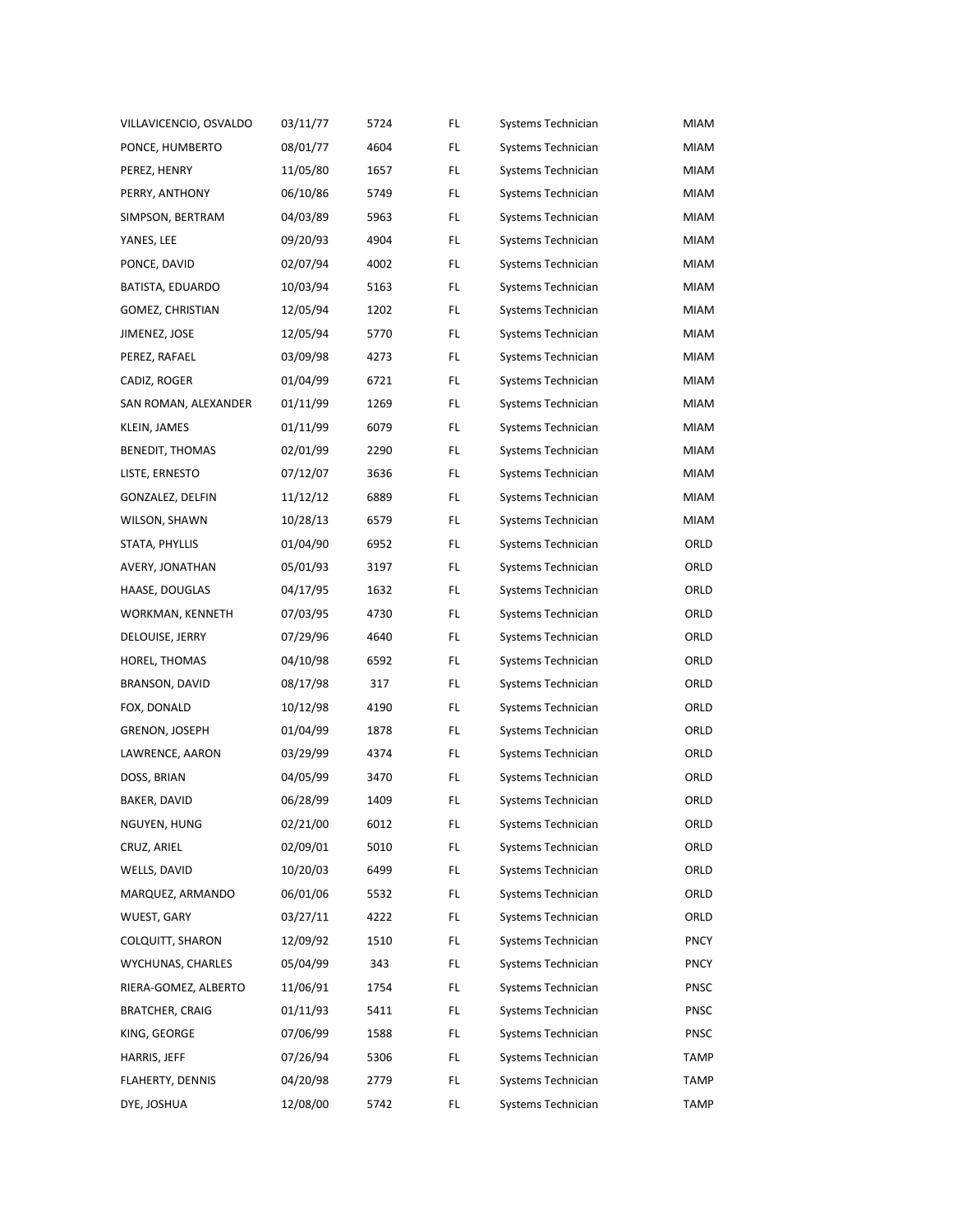| VILLAVICENCIO, OSVALDO | 03/11/77 | 5724 | FL  | Systems Technician | MIAM        |
|------------------------|----------|------|-----|--------------------|-------------|
| PONCE, HUMBERTO        | 08/01/77 | 4604 | FL  | Systems Technician | MIAM        |
| PEREZ, HENRY           | 11/05/80 | 1657 | FL  | Systems Technician | <b>MIAM</b> |
| PERRY, ANTHONY         | 06/10/86 | 5749 | FL  | Systems Technician | MIAM        |
| SIMPSON, BERTRAM       | 04/03/89 | 5963 | FL  | Systems Technician | MIAM        |
| YANES, LEE             | 09/20/93 | 4904 | FL  | Systems Technician | MIAM        |
| PONCE, DAVID           | 02/07/94 | 4002 | FL  | Systems Technician | <b>MIAM</b> |
| BATISTA, EDUARDO       | 10/03/94 | 5163 | FL  | Systems Technician | MIAM        |
| GOMEZ, CHRISTIAN       | 12/05/94 | 1202 | FL  | Systems Technician | MIAM        |
| JIMENEZ, JOSE          | 12/05/94 | 5770 | FL  | Systems Technician | MIAM        |
| PEREZ, RAFAEL          | 03/09/98 | 4273 | FL  | Systems Technician | <b>MIAM</b> |
| CADIZ, ROGER           | 01/04/99 | 6721 | FL  | Systems Technician | MIAM        |
| SAN ROMAN, ALEXANDER   | 01/11/99 | 1269 | FL  | Systems Technician | MIAM        |
| KLEIN, JAMES           | 01/11/99 | 6079 | FL  | Systems Technician | MIAM        |
| <b>BENEDIT, THOMAS</b> | 02/01/99 | 2290 | FL  | Systems Technician | <b>MIAM</b> |
| LISTE, ERNESTO         | 07/12/07 | 3636 | FL  | Systems Technician | MIAM        |
| GONZALEZ, DELFIN       | 11/12/12 | 6889 | FL  | Systems Technician | MIAM        |
| WILSON, SHAWN          | 10/28/13 | 6579 | FL  | Systems Technician | MIAM        |
| STATA, PHYLLIS         | 01/04/90 | 6952 | FL  | Systems Technician | ORLD        |
| AVERY, JONATHAN        | 05/01/93 | 3197 | FL  | Systems Technician | ORLD        |
| HAASE, DOUGLAS         | 04/17/95 | 1632 | FL  | Systems Technician | ORLD        |
| WORKMAN, KENNETH       | 07/03/95 | 4730 | FL  | Systems Technician | ORLD        |
| DELOUISE, JERRY        | 07/29/96 | 4640 | FL  | Systems Technician | ORLD        |
| HOREL, THOMAS          | 04/10/98 | 6592 | FL  | Systems Technician | ORLD        |
| BRANSON, DAVID         | 08/17/98 | 317  | FL  | Systems Technician | ORLD        |
| FOX, DONALD            | 10/12/98 | 4190 | FL  | Systems Technician | ORLD        |
| GRENON, JOSEPH         | 01/04/99 | 1878 | FL  | Systems Technician | ORLD        |
| LAWRENCE, AARON        | 03/29/99 | 4374 | FL  | Systems Technician | ORLD        |
| DOSS, BRIAN            | 04/05/99 | 3470 | FL  | Systems Technician | ORLD        |
| BAKER, DAVID           | 06/28/99 | 1409 | FL  | Systems Technician | ORLD        |
| NGUYEN, HUNG           | 02/21/00 | 6012 | FL  | Systems Technician | ORLD        |
| CRUZ, ARIEL            | 02/09/01 | 5010 | FL  | Systems Technician | ORLD        |
| WELLS, DAVID           | 10/20/03 | 6499 | FL  | Systems Technician | ORLD        |
| MARQUEZ, ARMANDO       | 06/01/06 | 5532 | FL  | Systems Technician | ORLD        |
| WUEST, GARY            | 03/27/11 | 4222 | FL  | Systems Technician | ORLD        |
| COLQUITT, SHARON       | 12/09/92 | 1510 | FL  | Systems Technician | <b>PNCY</b> |
| WYCHUNAS, CHARLES      | 05/04/99 | 343  | FL  | Systems Technician | <b>PNCY</b> |
| RIERA-GOMEZ, ALBERTO   | 11/06/91 | 1754 | FL  | Systems Technician | <b>PNSC</b> |
| <b>BRATCHER, CRAIG</b> | 01/11/93 | 5411 | FL  | Systems Technician | <b>PNSC</b> |
| KING, GEORGE           | 07/06/99 | 1588 | FL  | Systems Technician | PNSC        |
| HARRIS, JEFF           | 07/26/94 | 5306 | FL  | Systems Technician | TAMP        |
| FLAHERTY, DENNIS       | 04/20/98 | 2779 | FL  | Systems Technician | TAMP        |
| DYE, JOSHUA            | 12/08/00 | 5742 | FL. | Systems Technician | TAMP        |